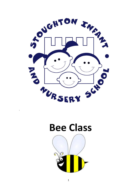



.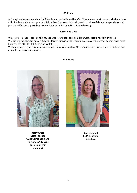#### **Welcome**

At Stoughton Nursery we aim to be friendly, approachable and helpful. We create an environment which we hope will stimulate and encourage your child. In Bee Class your child will develop their confidence, independence and positive self-esteem, providing a sound basis on which to build all future learning.

#### **About Bee Class**

We are a pre-school speech and language unit catering for seven children with specific needs in this area. We join the mainstream nursery (Ladybird Class) for part of our morning session at nursery for approximately one hour per day (10.00-11.00) and also for P.E.

We often share resources and share planning ideas with Ladybird Class and join them for special celebrations, for example the Christmas concert.

#### **Our Team**



**Becky Arnell Class Teacher COIN Centre Lead and Nursery SEN Leader (Inclusion Team member)**



**Sam Lampard COIN Teaching Assistant**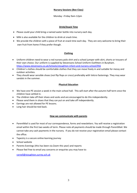#### Monday –Friday 9am-12pm

# **Drink/Snack Time**

- Please could your child bring a named water bottle into nursery each day.
- Milk is also available for the children to drink at snack time.
- We provide the children with a piece of fruit at snack time each day. They are very welcome to bring their own fruit from home if they prefer though.

# **Clothing**

- Uniform-children need to wear a red nursery polo shirt and a school jumper with skirt, shorts or trousers of their own choice. Our uniform is supplied by Stevensons School Uniform Outfitters in Burpham. <https://www.stevensons.co.uk/Schools/stoughton-infant-and-nursery-school/956>
- Children's clothes should be comfortable clothes that they can move freely in and suitable for messy and outdoor activities.
- They should wear sensible shoes (not flip flops or crocs) preferably with Velcro fastenings. They may wear sandals in the summer.

# **Physical Education**

- We have one PE session a week in the main school hall. This will start after the autumn half term once the children have settled in.
- The children take off their shoes and socks and are encouraged to do this independently.
- Please send them in shoes that they can put on and take off independently.
- Earrings are not allowed for PE lessons.
- Long hair should be tied back.

## **How we communicate with parents**

- ParentMail is used for most of our correspondence, forms and newsletters. You will receive a registration email within the first two weeks of term. Please note all payments should be made through ParentMail. We cannot take any cash payments in the nursery. If you do not receive your registration email please contact the office.
- Tapestry is a secure online learning journey
- School website
- Parents Evenings (this has been via Zoom this year) and reports
- Please feel free to email any concerns or enquiries you may have to:

[rarnell@stoughton.surrey.sch.uk](mailto:rarnell@stoughton.surrey.sch.uk)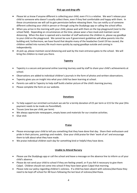# **Pick ups and drop offs**

- Please let us know if anyone different is collecting your child, even if it is a relative. We won't release your child to someone who doesn't usually collect them, even if they feel comfortable and happy with them. In these circumstances we will call to gain permission before releasing them. You can notify us of someone different collecting your child in person or through using the Studybugs app or calling the school office.
- When you arrive in the morning with your child, please wait with them on the top playground (next to the school field). Depending on circumstances at the time, please wear a face mask and maintain social distancing. When the door is opened and a member of staff welcomes the children in, please say goodbye to your child on the playground. We cannot be sure if government guidelines will allow parents into the building and, furthermore, we have found that despite many of the headaches Covid-19 has caused, the children settled into nursery life much more quickly by saying goodbye outside and coming in independently.
- At pick up, please maintain social distancing and wait by the main entrance gates to the school. We will bring the children to meet you there.

# **Tapestry**

- Tapestry is a secure and personal online Learning Journey used by staff to share your child's achievements at school.
- Observations are added to individual children's journals in the form of photos and written observations.
- Tapestry gives you an insight into what your child has been learning at school.
- Parents can add to Tapestry to help staff build a better picture of the child's learning journey.
- Please complete the form on our website.

## **Donations**

- To help support our enriched curriculum we ask for a termly donation of £5 per term or £15 for the year (this payment needs to be made via ParentMail).
- Tissues (one box per child, per term)
- We always appreciate newspapers, empty boxes and materials for our creative activities.
- Glue stick

## **Praise**

- Please encourage your child to tell you something that they have done that day. Share their enthusiasm and pride in their pictures, paintings and models. Give your child praise for their 'work of art' and encourage them to talk about what they have made.
- We praise individual children each day for something kind or helpful they have done.

## **Unable to Attend Nursery**

- Please use the Studybugs app or call the school and leave a message on the absence line to inform us of your child's absence.
- Please do not send your child to school if they are feeling unwell, or if you felt it necessary to give them Calpol. Children should not come into school if they have been given Calpol that morning.
- Please note our policy regarding children's sickness. If a child has been absent with sickness/diarrhoea they need to be kept off school for 48 hours following the last bout of sickness/diarrhoea.